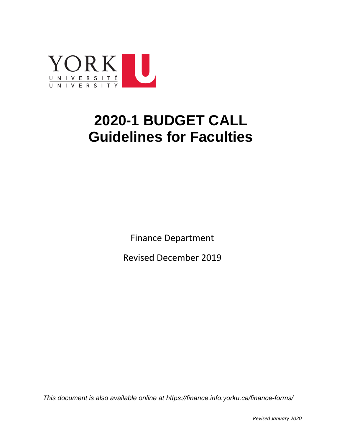

# **2020-1 BUDGET CALL Guidelines for Faculties**

Finance Department

Revised December 2019

*This document is also available online at https://finance.info.yorku.ca/finance-forms/*

*Revised January 2020*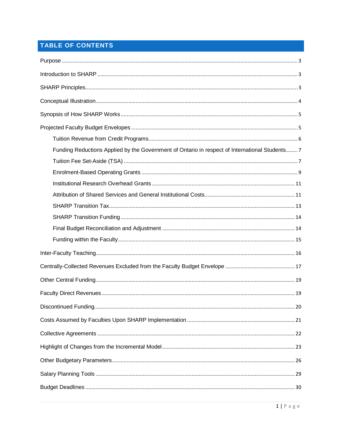# TABLE OF CONTENTS

| Funding Reductions Applied by the Government of Ontario in respect of International Students 7 |
|------------------------------------------------------------------------------------------------|
|                                                                                                |
|                                                                                                |
|                                                                                                |
|                                                                                                |
|                                                                                                |
|                                                                                                |
|                                                                                                |
|                                                                                                |
|                                                                                                |
|                                                                                                |
|                                                                                                |
|                                                                                                |
|                                                                                                |
|                                                                                                |
|                                                                                                |
|                                                                                                |
|                                                                                                |
|                                                                                                |
|                                                                                                |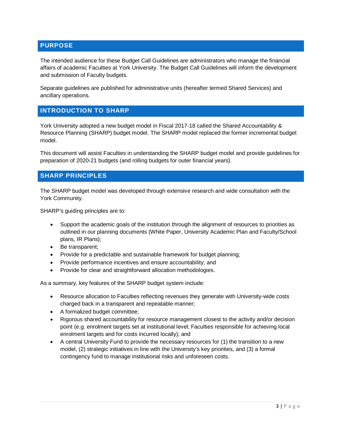# <span id="page-3-0"></span>**PURPOSE**

The intended audience for these Budget Call Guidelines are administrators who manage the financial affairs of academic Faculties at York University. The Budget Call Guidelines will inform the development and submission of Faculty budgets.

Separate guidelines are published for administrative units (hereafter termed Shared Services) and ancillary operations.

# <span id="page-3-1"></span>**INTRODUCTION TO SHARP**

York University adopted a new budget model in Fiscal 2017-18 called the Shared Accountability & Resource Planning (SHARP) budget model. The SHARP model replaced the former incremental budget model.

This document will assist Faculties in understanding the SHARP budget model and provide guidelines for preparation of 2020-21 budgets (and rolling budgets for outer financial years).

#### <span id="page-3-2"></span>**SHARP PRINCIPLES**

The SHARP budget model was developed through extensive research and wide consultation with the York Community.

SHARP's guiding principles are to:

- Support the academic goals of the institution through the alignment of resources to priorities as outlined in our planning documents (White Paper, University Academic Plan and Faculty/School plans, IR Plans);
- Be transparent;
- Provide for a predictable and sustainable framework for budget planning;
- Provide performance incentives and ensure accountability; and
- Provide for clear and straightforward allocation methodologies.

As a summary, key features of the SHARP budget system include:

- Resource allocation to Faculties reflecting revenues they generate with University-wide costs charged back in a transparent and repeatable manner;
- A formalized budget committee;
- Rigorous shared accountability for resource management closest to the activity and/or decision point (e.g. enrolment targets set at institutional level; Faculties responsible for achieving local enrolment targets and for costs incurred locally); and
- A central University Fund to provide the necessary resources for (1) the transition to a new model, (2) strategic initiatives in line with the University's key priorities, and (3) a formal contingency fund to manage institutional risks and unforeseen costs.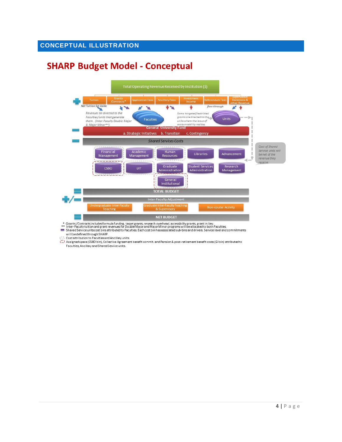# <span id="page-4-0"></span>**CONCEPTUAL ILLUSTRATION**

# **SHARP Budget Model - Conceptual**



\* Grants / Contracts includesformula funding, target grants, research overhead, accessibility grants, grant in lieu.<br>\*\* Inter-Faculty tuition and grant revenues for Double Major and Major Minor programs will be allocated t

will be defined through SHARP.

़ि Cost attribution to Faculties and Ancillary units.<br>(2) Assigned space (CSBO bin), Collective Agreement benefit commit. and Pension & post-retirement benefit costs (GI bin) attributed to Faculties, Ancillary and Shared Service units.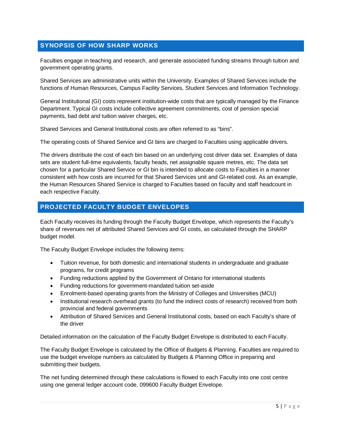# <span id="page-5-0"></span>**SYNOPSIS OF HOW SHARP WORKS**

Faculties engage in teaching and research, and generate associated funding streams through tuition and government operating grants.

Shared Services are administrative units within the University. Examples of Shared Services include the functions of Human Resources, Campus Facility Services, Student Services and Information Technology.

General Institutional (GI) costs represent institution-wide costs that are typically managed by the Finance Department. Typical GI costs include collective agreement commitments, cost of pension special payments, bad debt and tuition waiver charges, etc.

Shared Services and General Institutional costs are often referred to as "bins".

The operating costs of Shared Service and GI bins are charged to Faculties using applicable drivers.

The drivers distribute the cost of each bin based on an underlying cost driver data set. Examples of data sets are student full-time equivalents, faculty heads, net assignable square metres, etc. The data set chosen for a particular Shared Service or GI bin is intended to allocate costs to Faculties in a manner consistent with how costs are incurred for that Shared Services unit and GI-related cost. As an example, the Human Resources Shared Service is charged to Faculties based on faculty and staff headcount in each respective Faculty.

#### <span id="page-5-1"></span>**PROJECTED FACULTY BUDGET ENVELOPES**

Each Faculty receives its funding through the Faculty Budget Envelope, which represents the Faculty's share of revenues net of attributed Shared Services and GI costs, as calculated through the SHARP budget model.

The Faculty Budget Envelope includes the following items:

- Tuition revenue, for both domestic and international students in undergraduate and graduate programs, for credit programs
- Funding reductions applied by the Government of Ontario for international students
- Funding reductions for government-mandated tuition set-aside
- Enrolment-based operating grants from the Ministry of Colleges and Universities (MCU)
- Institutional research overhead grants (to fund the indirect costs of research) received from both provincial and federal governments
- Attribution of Shared Services and General Institutional costs, based on each Faculty's share of the driver

Detailed information on the calculation of the Faculty Budget Envelope is distributed to each Faculty.

The Faculty Budget Envelope is calculated by the Office of Budgets & Planning. Faculties are required to use the budget envelope numbers as calculated by Budgets & Planning Office in preparing and submitting their budgets.

The net funding determined through these calculations is flowed to each Faculty into one cost centre using one general ledger account code, 099600 Faculty Budget Envelope.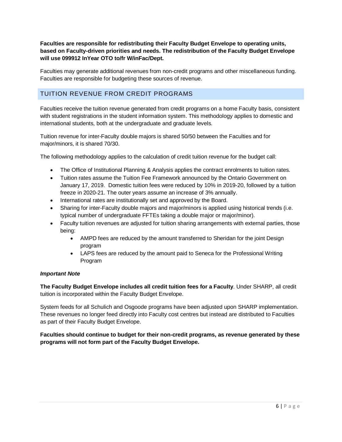**Faculties are responsible for redistributing their Faculty Budget Envelope to operating units, based on Faculty-driven priorities and needs. The redistribution of the Faculty Budget Envelope will use 099912 InYear OTO to/fr W/inFac/Dept.** 

Faculties may generate additional revenues from non-credit programs and other miscellaneous funding. Faculties are responsible for budgeting these sources of revenue.

# <span id="page-6-0"></span>TUITION REVENUE FROM CREDIT PROGRAMS

Faculties receive the tuition revenue generated from credit programs on a home Faculty basis, consistent with student registrations in the student information system. This methodology applies to domestic and international students, both at the undergraduate and graduate levels.

Tuition revenue for inter-Faculty double majors is shared 50/50 between the Faculties and for major/minors, it is shared 70/30.

The following methodology applies to the calculation of credit tuition revenue for the budget call:

- The Office of Institutional Planning & Analysis applies the contract enrolments to tuition rates.
- Tuition rates assume the Tuition Fee Framework announced by the Ontario Government on January 17, 2019. Domestic tuition fees were reduced by 10% in 2019-20, followed by a tuition freeze in 2020-21. The outer years assume an increase of 3% annually.
- International rates are institutionally set and approved by the Board.
- Sharing for inter-Faculty double majors and major/minors is applied using historical trends (i.e. typical number of undergraduate FFTEs taking a double major or major/minor).
- Faculty tuition revenues are adjusted for tuition sharing arrangements with external parties, those being:
	- AMPD fees are reduced by the amount transferred to Sheridan for the joint Design program
	- LAPS fees are reduced by the amount paid to Seneca for the Professional Writing Program

#### *Important Note*

**The Faculty Budget Envelope includes all credit tuition fees for a Faculty**. Under SHARP, all credit tuition is incorporated within the Faculty Budget Envelope.

System feeds for all Schulich and Osgoode programs have been adjusted upon SHARP implementation. These revenues no longer feed directly into Faculty cost centres but instead are distributed to Faculties as part of their Faculty Budget Envelope.

#### **Faculties should continue to budget for their non-credit programs, as revenue generated by these programs will not form part of the Faculty Budget Envelope.**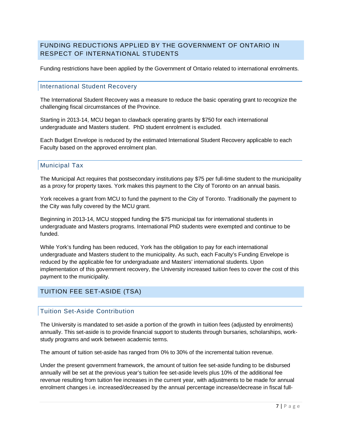# <span id="page-7-0"></span>FUNDING REDUCTIONS APPLIED BY THE GOVERNMENT OF ONTARIO IN RESPECT OF INTERNATIONAL STUDENTS

Funding restrictions have been applied by the Government of Ontario related to international enrolments.

#### International Student Recovery

The International Student Recovery was a measure to reduce the basic operating grant to recognize the challenging fiscal circumstances of the Province.

Starting in 2013-14, MCU began to clawback operating grants by \$750 for each international undergraduate and Masters student. PhD student enrolment is excluded.

Each Budget Envelope is reduced by the estimated International Student Recovery applicable to each Faculty based on the approved enrolment plan.

#### Municipal Tax

The Municipal Act requires that postsecondary institutions pay \$75 per full-time student to the municipality as a proxy for property taxes. York makes this payment to the City of Toronto on an annual basis.

York receives a grant from MCU to fund the payment to the City of Toronto. Traditionally the payment to the City was fully covered by the MCU grant.

Beginning in 2013-14, MCU stopped funding the \$75 municipal tax for international students in undergraduate and Masters programs. International PhD students were exempted and continue to be funded.

While York's funding has been reduced, York has the obligation to pay for each international undergraduate and Masters student to the municipality. As such, each Faculty's Funding Envelope is reduced by the applicable fee for undergraduate and Masters' international students. Upon implementation of this government recovery, the University increased tuition fees to cover the cost of this payment to the municipality.

# <span id="page-7-1"></span>TUITION FEE SET-ASIDE (TSA)

### Tuition Set-Aside Contribution

The University is mandated to set-aside a portion of the growth in tuition fees (adjusted by enrolments) annually. This set-aside is to provide financial support to students through bursaries, scholarships, workstudy programs and work between academic terms.

The amount of tuition set-aside has ranged from 0% to 30% of the incremental tuition revenue.

Under the present government framework, the amount of tuition fee set-aside funding to be disbursed annually will be set at the previous year's tuition fee set-aside levels plus 10% of the additional fee revenue resulting from tuition fee increases in the current year, with adjustments to be made for annual enrolment changes i.e. increased/decreased by the annual percentage increase/decrease in fiscal full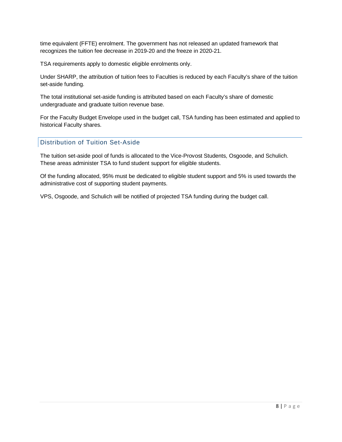time equivalent (FFTE) enrolment. The government has not released an updated framework that recognizes the tuition fee decrease in 2019-20 and the freeze in 2020-21.

TSA requirements apply to domestic eligible enrolments only.

Under SHARP, the attribution of tuition fees to Faculties is reduced by each Faculty's share of the tuition set-aside funding.

The total institutional set-aside funding is attributed based on each Faculty's share of domestic undergraduate and graduate tuition revenue base.

For the Faculty Budget Envelope used in the budget call, TSA funding has been estimated and applied to historical Faculty shares.

#### Distribution of Tuition Set-Aside

The tuition set-aside pool of funds is allocated to the Vice-Provost Students, Osgoode, and Schulich. These areas administer TSA to fund student support for eligible students.

Of the funding allocated, 95% must be dedicated to eligible student support and 5% is used towards the administrative cost of supporting student payments.

VPS, Osgoode, and Schulich will be notified of projected TSA funding during the budget call.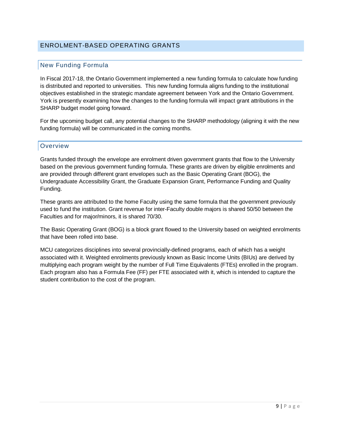### <span id="page-9-0"></span>ENROLMENT-BASED OPERATING GRANTS

### New Funding Formula

In Fiscal 2017-18, the Ontario Government implemented a new funding formula to calculate how funding is distributed and reported to universities. This new funding formula aligns funding to the institutional objectives established in the strategic mandate agreement between York and the Ontario Government. York is presently examining how the changes to the funding formula will impact grant attributions in the SHARP budget model going forward.

For the upcoming budget call, any potential changes to the SHARP methodology (aligning it with the new funding formula) will be communicated in the coming months.

#### **Overview**

Grants funded through the envelope are enrolment driven government grants that flow to the University based on the previous government funding formula. These grants are driven by eligible enrolments and are provided through different grant envelopes such as the Basic Operating Grant (BOG), the Undergraduate Accessibility Grant, the Graduate Expansion Grant, Performance Funding and Quality Funding.

These grants are attributed to the home Faculty using the same formula that the government previously used to fund the institution. Grant revenue for inter-Faculty double majors is shared 50/50 between the Faculties and for major/minors, it is shared 70/30.

The Basic Operating Grant (BOG) is a block grant flowed to the University based on weighted enrolments that have been rolled into base.

MCU categorizes disciplines into several provincially-defined programs, each of which has a weight associated with it. Weighted enrolments previously known as Basic Income Units (BIUs) are derived by multiplying each program weight by the number of Full Time Equivalents (FTEs) enrolled in the program. Each program also has a Formula Fee (FF) per FTE associated with it, which is intended to capture the student contribution to the cost of the program.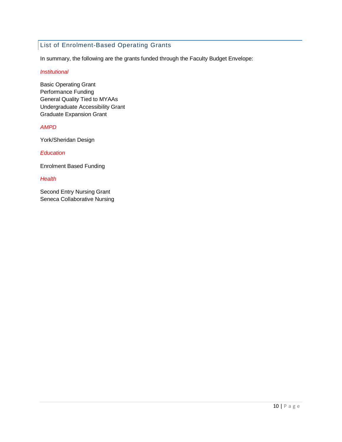# List of Enrolment-Based Operating Grants

In summary, the following are the grants funded through the Faculty Budget Envelope:

#### *Institutional*

Basic Operating Grant Performance Funding General Quality Tied to MYAAs Undergraduate Accessibility Grant Graduate Expansion Grant

#### *AMPD*

York/Sheridan Design

*Education*

Enrolment Based Funding

*Health*

Second Entry Nursing Grant Seneca Collaborative Nursing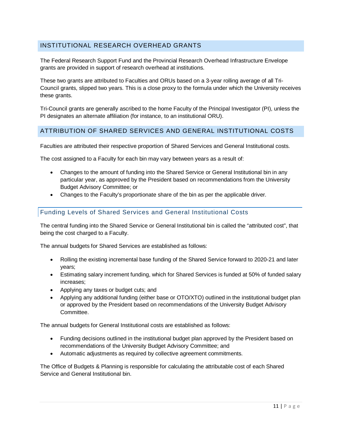# <span id="page-11-0"></span>INSTITUTIONAL RESEARCH OVERHEAD GRANTS

The Federal Research Support Fund and the Provincial Research Overhead Infrastructure Envelope grants are provided in support of research overhead at institutions.

These two grants are attributed to Faculties and ORUs based on a 3-year rolling average of all Tri-Council grants, slipped two years. This is a close proxy to the formula under which the University receives these grants.

Tri-Council grants are generally ascribed to the home Faculty of the Principal Investigator (PI), unless the PI designates an alternate affiliation (for instance, to an institutional ORU).

#### <span id="page-11-1"></span>ATTRIBUTION OF SHARED SERVICES AND GENERAL INSTITUTIONAL COSTS

Faculties are attributed their respective proportion of Shared Services and General Institutional costs.

The cost assigned to a Faculty for each bin may vary between years as a result of:

- Changes to the amount of funding into the Shared Service or General Institutional bin in any particular year, as approved by the President based on recommendations from the University Budget Advisory Committee; or
- Changes to the Faculty's proportionate share of the bin as per the applicable driver.

#### Funding Levels of Shared Services and General Institutional Costs

The central funding into the Shared Service or General Institutional bin is called the "attributed cost", that being the cost charged to a Faculty.

The annual budgets for Shared Services are established as follows:

- Rolling the existing incremental base funding of the Shared Service forward to 2020-21 and later years;
- Estimating salary increment funding, which for Shared Services is funded at 50% of funded salary increases;
- Applying any taxes or budget cuts; and
- Applying any additional funding (either base or OTO/XTO) outlined in the institutional budget plan or approved by the President based on recommendations of the University Budget Advisory Committee.

The annual budgets for General Institutional costs are established as follows:

- Funding decisions outlined in the institutional budget plan approved by the President based on recommendations of the University Budget Advisory Committee; and
- Automatic adjustments as required by collective agreement commitments.

The Office of Budgets & Planning is responsible for calculating the attributable cost of each Shared Service and General Institutional bin.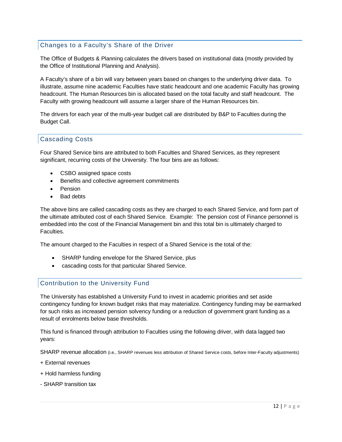# Changes to a Faculty's Share of the Driver

The Office of Budgets & Planning calculates the drivers based on institutional data (mostly provided by the Office of Institutional Planning and Analysis).

A Faculty's share of a bin will vary between years based on changes to the underlying driver data. To illustrate, assume nine academic Faculties have static headcount and one academic Faculty has growing headcount. The Human Resources bin is allocated based on the total faculty and staff headcount. The Faculty with growing headcount will assume a larger share of the Human Resources bin.

The drivers for each year of the multi-year budget call are distributed by B&P to Faculties during the Budget Call.

# Cascading Costs

Four Shared Service bins are attributed to both Faculties and Shared Services, as they represent significant, recurring costs of the University. The four bins are as follows:

- CSBO assigned space costs
- Benefits and collective agreement commitments
- Pension
- Bad debts

The above bins are called cascading costs as they are charged to each Shared Service, and form part of the ultimate attributed cost of each Shared Service. Example: The pension cost of Finance personnel is embedded into the cost of the Financial Management bin and this total bin is ultimately charged to Faculties.

The amount charged to the Faculties in respect of a Shared Service is the total of the:

- SHARP funding envelope for the Shared Service, plus
- cascading costs for that particular Shared Service.

#### Contribution to the University Fund

The University has established a University Fund to invest in academic priorities and set aside contingency funding for known budget risks that may materialize. Contingency funding may be earmarked for such risks as increased pension solvency funding or a reduction of government grant funding as a result of enrolments below base thresholds.

This fund is financed through attribution to Faculties using the following driver, with data lagged two years:

SHARP revenue allocation (i.e., SHARP revenues less attribution of Shared Service costs, before Inter-Faculty adjustments)

- + External revenues
- + Hold harmless funding
- SHARP transition tax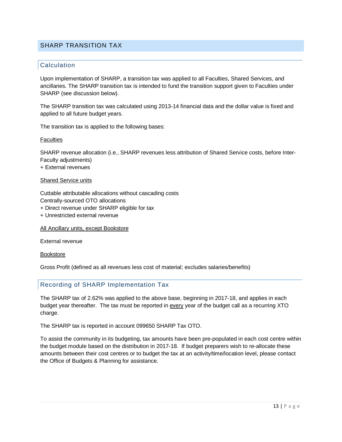#### <span id="page-13-0"></span>SHARP TRANSITION TAX

#### **Calculation**

Upon implementation of SHARP, a transition tax was applied to all Faculties, Shared Services, and ancillaries. The SHARP transition tax is intended to fund the transition support given to Faculties under SHARP (see discussion below).

The SHARP transition tax was calculated using 2013-14 financial data and the dollar value is fixed and applied to all future budget years.

The transition tax is applied to the following bases:

**Faculties** 

SHARP revenue allocation (i.e., SHARP revenues less attribution of Shared Service costs, before Inter-Faculty adjustments) + External revenues

#### Shared Service units

Cuttable attributable allocations without cascading costs Centrally-sourced OTO allocations

+ Direct revenue under SHARP eligible for tax

+ Unrestricted external revenue

All Ancillary units, except Bookstore

External revenue

Bookstore

Gross Profit (defined as all revenues less cost of material; excludes salaries/benefits)

#### Recording of SHARP Implementation Tax

The SHARP tax of 2.62% was applied to the above base, beginning in 2017-18, and applies in each budget year thereafter. The tax must be reported in every year of the budget call as a recurring XTO charge.

The SHARP tax is reported in account 099650 SHARP Tax OTO.

To assist the community in its budgeting, tax amounts have been pre-populated in each cost centre within the budget module based on the distribution in 2017-18. If budget preparers wish to re-allocate these amounts between their cost centres or to budget the tax at an activity/time/location level, please contact the Office of Budgets & Planning for assistance.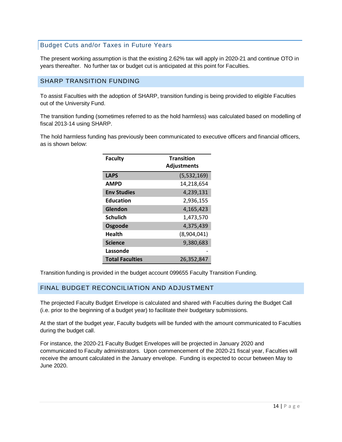# Budget Cuts and/or Taxes in Future Years

The present working assumption is that the existing 2.62% tax will apply in 2020-21 and continue OTO in years thereafter. No further tax or budget cut is anticipated at this point for Faculties.

# <span id="page-14-0"></span>SHARP TRANSITION FUNDING

To assist Faculties with the adoption of SHARP, transition funding is being provided to eligible Faculties out of the University Fund.

The transition funding (sometimes referred to as the hold harmless) was calculated based on modelling of fiscal 2013-14 using SHARP.

The hold harmless funding has previously been communicated to executive officers and financial officers, as is shown below:

| <b>Faculty</b>         | <b>Transition</b><br><b>Adjustments</b> |
|------------------------|-----------------------------------------|
| <b>LAPS</b>            | (5,532,169)                             |
| <b>AMPD</b>            | 14,218,654                              |
| <b>Env Studies</b>     | 4,239,131                               |
| <b>Education</b>       | 2,936,155                               |
| Glendon                | 4,165,423                               |
| <b>Schulich</b>        | 1,473,570                               |
| Osgoode                | 4,375,439                               |
| Health                 | (8,904,041)                             |
| <b>Science</b>         | 9,380,683                               |
| Lassonde               |                                         |
| <b>Total Faculties</b> | 26,352,847                              |

Transition funding is provided in the budget account 099655 Faculty Transition Funding.

#### <span id="page-14-1"></span>FINAL BUDGET RECONCILIATION AND ADJUSTMENT

The projected Faculty Budget Envelope is calculated and shared with Faculties during the Budget Call (i.e. prior to the beginning of a budget year) to facilitate their budgetary submissions.

At the start of the budget year, Faculty budgets will be funded with the amount communicated to Faculties during the budget call.

For instance, the 2020-21 Faculty Budget Envelopes will be projected in January 2020 and communicated to Faculty administrators. Upon commencement of the 2020-21 fiscal year, Faculties will receive the amount calculated in the January envelope. Funding is expected to occur between May to June 2020.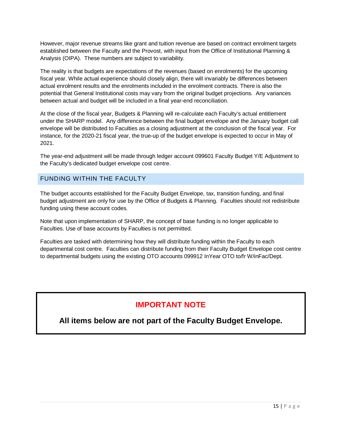However, major revenue streams like grant and tuition revenue are based on contract enrolment targets established between the Faculty and the Provost, with input from the Office of Institutional Planning & Analysis (OIPA). These numbers are subject to variability.

The reality is that budgets are expectations of the revenues (based on enrolments) for the upcoming fiscal year. While actual experience should closely align, there will invariably be differences between actual enrolment results and the enrolments included in the enrolment contracts. There is also the potential that General Institutional costs may vary from the original budget projections. Any variances between actual and budget will be included in a final year-end reconciliation.

At the close of the fiscal year, Budgets & Planning will re-calculate each Faculty's actual entitlement under the SHARP model. Any difference between the final budget envelope and the January budget call envelope will be distributed to Faculties as a closing adjustment at the conclusion of the fiscal year. For instance, for the 2020-21 fiscal year, the true-up of the budget envelope is expected to occur in May of 2021.

The year-end adjustment will be made through ledger account 099601 Faculty Budget Y/E Adjustment to the Faculty's dedicated budget envelope cost centre.

#### <span id="page-15-0"></span>FUNDING WITHIN THE FACULTY

The budget accounts established for the Faculty Budget Envelope, tax, transition funding, and final budget adjustment are only for use by the Office of Budgets & Planning. Faculties should not redistribute funding using these account codes.

Note that upon implementation of SHARP, the concept of base funding is no longer applicable to Faculties. Use of base accounts by Faculties is not permitted.

Faculties are tasked with determining how they will distribute funding within the Faculty to each departmental cost centre. Faculties can distribute funding from their Faculty Budget Envelope cost centre to departmental budgets using the existing OTO accounts 099912 InYear OTO to/fr W/inFac/Dept.

# **IMPORTANT NOTE**

**All items below are not part of the Faculty Budget Envelope.**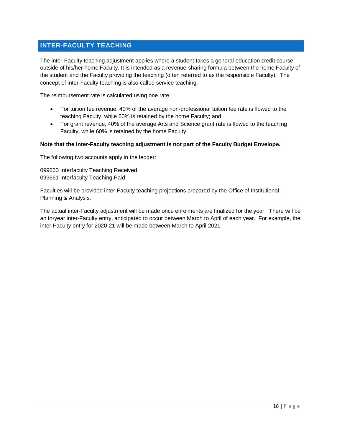# <span id="page-16-0"></span>**INTER-FACULTY TEACHING**

The inter-Faculty teaching adjustment applies where a student takes a general education credit course outside of his/her home Faculty. It is intended as a revenue-sharing formula between the home Faculty of the student and the Faculty providing the teaching (often referred to as the responsible Faculty). The concept of inter-Faculty teaching is also called service teaching.

The reimbursement rate is calculated using one rate:

- For tuition fee revenue, 40% of the average non-professional tuition fee rate is flowed to the teaching Faculty, while 60% is retained by the home Faculty; and,
- For grant revenue, 40% of the average Arts and Science grant rate is flowed to the teaching Faculty, while 60% is retained by the home Faculty

#### **Note that the inter-Faculty teaching adjustment is not part of the Faculty Budget Envelope.**

The following two accounts apply in the ledger:

099660 Interfaculty Teaching Received 099661 Interfaculty Teaching Paid

Faculties will be provided inter-Faculty teaching projections prepared by the Office of Institutional Planning & Analysis.

The actual inter-Faculty adjustment will be made once enrolments are finalized for the year. There will be an in-year inter-Faculty entry, anticipated to occur between March to April of each year. For example, the inter-Faculty entry for 2020-21 will be made between March to April 2021.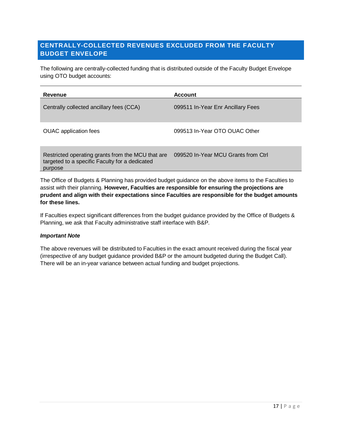# <span id="page-17-0"></span>**CENTRALLY-COLLECTED REVENUES EXCLUDED FROM THE FACULTY BUDGET ENVELOPE**

The following are centrally-collected funding that is distributed outside of the Faculty Budget Envelope using OTO budget accounts:

| Revenue                                                                                                        | <b>Account</b>                      |
|----------------------------------------------------------------------------------------------------------------|-------------------------------------|
| Centrally collected ancillary fees (CCA)                                                                       | 099511 In-Year Enr Ancillary Fees   |
| <b>OUAC</b> application fees                                                                                   | 099513 In-Year OTO OUAC Other       |
| Restricted operating grants from the MCU that are<br>targeted to a specific Faculty for a dedicated<br>purpose | 099520 In-Year MCU Grants from Ctrl |

The Office of Budgets & Planning has provided budget guidance on the above items to the Faculties to assist with their planning. **However, Faculties are responsible for ensuring the projections are prudent and align with their expectations since Faculties are responsible for the budget amounts for these lines.** 

If Faculties expect significant differences from the budget guidance provided by the Office of Budgets & Planning, we ask that Faculty administrative staff interface with B&P.

#### *Important Note*

The above revenues will be distributed to Faculties in the exact amount received during the fiscal year (irrespective of any budget guidance provided B&P or the amount budgeted during the Budget Call). There will be an in-year variance between actual funding and budget projections.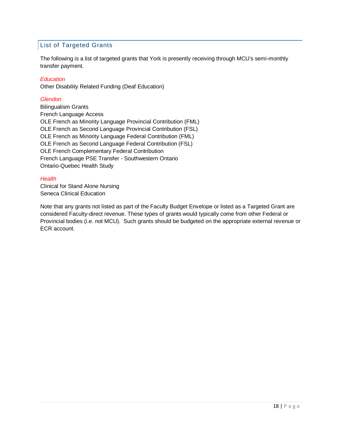# List of Targeted Grants

The following is a list of targeted grants that York is presently receiving through MCU's semi-monthly transfer payment.

#### *Education*

Other Disability Related Funding (Deaf Education)

#### *Glendon*

Bilingualism Grants French Language Access OLE French as Minority Language Provincial Contribution (FML) OLE French as Second Language Provincial Contribution (FSL) OLE French as Minority Language Federal Contribution (FML) OLE French as Second Language Federal Contribution (FSL) OLE French Complementary Federal Contribution French Language PSE Transfer - Southwestern Ontario Ontario-Quebec Health Study

#### *Health*

Clinical for Stand Alone Nursing Seneca Clinical Education

Note that any grants not listed as part of the Faculty Budget Envelope or listed as a Targeted Grant are considered Faculty-direct revenue. These types of grants would typically come from other Federal or Provincial bodies (i.e. not MCU). Such grants should be budgeted on the appropriate external revenue or ECR account.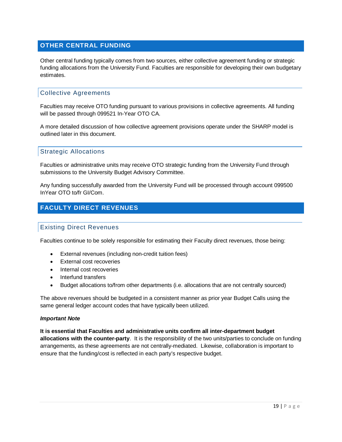# <span id="page-19-0"></span>**OTHER CENTRAL FUNDING**

Other central funding typically comes from two sources, either collective agreement funding or strategic funding allocations from the University Fund. Faculties are responsible for developing their own budgetary estimates.

#### Collective Agreements

Faculties may receive OTO funding pursuant to various provisions in collective agreements. All funding will be passed through 099521 In-Year OTO CA.

A more detailed discussion of how collective agreement provisions operate under the SHARP model is outlined later in this document.

#### Strategic Allocations

Faculties or administrative units may receive OTO strategic funding from the University Fund through submissions to the University Budget Advisory Committee.

Any funding successfully awarded from the University Fund will be processed through account 099500 InYear OTO to/fr GI/Com.

# <span id="page-19-1"></span>**FACULTY DIRECT REVENUES**

#### Existing Direct Revenues

Faculties continue to be solely responsible for estimating their Faculty direct revenues, those being:

- External revenues (including non-credit tuition fees)
- External cost recoveries
- Internal cost recoveries
- Interfund transfers
- Budget allocations to/from other departments (i.e. allocations that are not centrally sourced)

The above revenues should be budgeted in a consistent manner as prior year Budget Calls using the same general ledger account codes that have typically been utilized.

#### *Important Note*

**It is essential that Faculties and administrative units confirm all inter-department budget allocations with the counter-party**. It is the responsibility of the two units/parties to conclude on funding arrangements, as these agreements are not centrally-mediated. Likewise, collaboration is important to ensure that the funding/cost is reflected in each party's respective budget.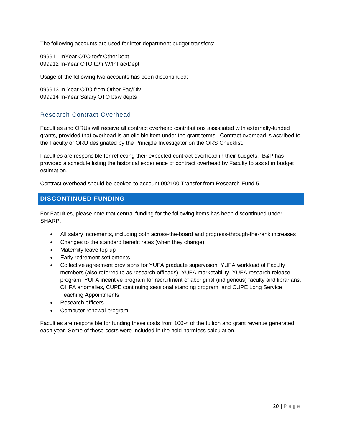The following accounts are used for inter-department budget transfers:

099911 InYear OTO to/fr OtherDept 099912 In-Year OTO to/fr W/InFac/Dept

Usage of the following two accounts has been discontinued:

099913 In-Year OTO from Other Fac/Div 099914 In-Year Salary OTO bt/w depts

#### Research Contract Overhead

Faculties and ORUs will receive all contract overhead contributions associated with externally-funded grants, provided that overhead is an eligible item under the grant terms. Contract overhead is ascribed to the Faculty or ORU designated by the Principle Investigator on the ORS Checklist.

Faculties are responsible for reflecting their expected contract overhead in their budgets. B&P has provided a schedule listing the historical experience of contract overhead by Faculty to assist in budget estimation.

Contract overhead should be booked to account 092100 Transfer from Research-Fund 5.

#### <span id="page-20-0"></span>**DISCONTINUED FUNDING**

For Faculties, please note that central funding for the following items has been discontinued under SHARP:

- All salary increments, including both across-the-board and progress-through-the-rank increases
- Changes to the standard benefit rates (when they change)
- Maternity leave top-up
- Early retirement settlements
- Collective agreement provisions for YUFA graduate supervision, YUFA workload of Faculty members (also referred to as research offloads), YUFA marketability, YUFA research release program, YUFA incentive program for recruitment of aboriginal (indigenous) faculty and librarians, OHFA anomalies, CUPE continuing sessional standing program, and CUPE Long Service Teaching Appointments
- Research officers
- Computer renewal program

Faculties are responsible for funding these costs from 100% of the tuition and grant revenue generated each year. Some of these costs were included in the hold harmless calculation.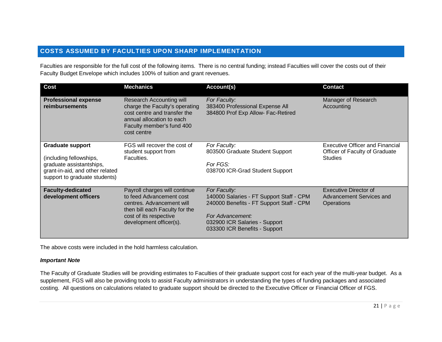# **COSTS ASSUMED BY FACULTIES UPON SHARP IMPLEMENTATION**

Faculties are responsible for the full cost of the following items. There is no central funding; instead Faculties will cover the costs out of their Faculty Budget Envelope which includes 100% of tuition and grant revenues.

<span id="page-21-0"></span>

| <b>Cost</b>                                                                                                                                        | <b>Mechanics</b>                                                                                                                                                              | Account(s)                                                                                                                                                                                 | <b>Contact</b>                                                                      |
|----------------------------------------------------------------------------------------------------------------------------------------------------|-------------------------------------------------------------------------------------------------------------------------------------------------------------------------------|--------------------------------------------------------------------------------------------------------------------------------------------------------------------------------------------|-------------------------------------------------------------------------------------|
| <b>Professional expense</b><br>reimbursements                                                                                                      | <b>Research Accounting will</b><br>charge the Faculty's operating<br>cost centre and transfer the<br>annual allocation to each<br>Faculty member's fund 400<br>cost centre    | For Faculty:<br>383400 Professional Expense All<br>384800 Prof Exp Allow- Fac-Retired                                                                                                      | Manager of Research<br>Accounting                                                   |
| <b>Graduate support</b><br>(including fellowships,<br>graduate assistantships,<br>grant-in-aid, and other related<br>support to graduate students) | FGS will recover the cost of<br>student support from<br>Faculties.                                                                                                            | For Faculty:<br>803500 Graduate Student Support<br>For FGS:<br>038700 ICR-Grad Student Support                                                                                             | Executive Officer and Financial<br>Officer of Faculty of Graduate<br><b>Studies</b> |
| <b>Faculty-dedicated</b><br>development officers                                                                                                   | Payroll charges will continue<br>to feed Advancement cost<br>centres. Advancement will<br>then bill each Faculty for the<br>cost of its respective<br>development officer(s). | For Faculty:<br>140000 Salaries - FT Support Staff - CPM<br>240000 Benefits - FT Support Staff - CPM<br>For Advancement:<br>032900 ICR Salaries - Support<br>033300 ICR Benefits - Support | Executive Director of<br>Advancement Services and<br>Operations                     |

The above costs were included in the hold harmless calculation.

#### *Important Note*

The Faculty of Graduate Studies will be providing estimates to Faculties of their graduate support cost for each year of the multi-year budget. As a supplement, FGS will also be providing tools to assist Faculty administrators in understanding the types of funding packages and associated costing. All questions on calculations related to graduate support should be directed to the Executive Officer or Financial Officer of FGS.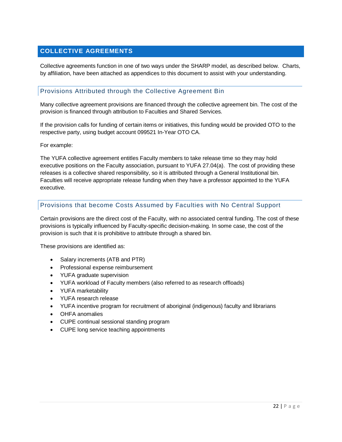# <span id="page-22-0"></span>**COLLECTIVE AGREEMENTS**

Collective agreements function in one of two ways under the SHARP model, as described below. Charts, by affiliation, have been attached as appendices to this document to assist with your understanding.

#### Provisions Attributed through the Collective Agreement Bin

Many collective agreement provisions are financed through the collective agreement bin. The cost of the provision is financed through attribution to Faculties and Shared Services.

If the provision calls for funding of certain items or initiatives, this funding would be provided OTO to the respective party, using budget account 099521 In-Year OTO CA.

For example:

The YUFA collective agreement entitles Faculty members to take release time so they may hold executive positions on the Faculty association, pursuant to YUFA 27.04(a). The cost of providing these releases is a collective shared responsibility, so it is attributed through a General Institutional bin. Faculties will receive appropriate release funding when they have a professor appointed to the YUFA executive.

#### Provisions that become Costs Assumed by Faculties with No Central Support

Certain provisions are the direct cost of the Faculty, with no associated central funding. The cost of these provisions is typically influenced by Faculty-specific decision-making. In some case, the cost of the provision is such that it is prohibitive to attribute through a shared bin.

These provisions are identified as:

- Salary increments (ATB and PTR)
- Professional expense reimbursement
- YUFA graduate supervision
- YUFA workload of Faculty members (also referred to as research offloads)
- YUFA marketability
- YUFA research release
- YUFA incentive program for recruitment of aboriginal (indigenous) faculty and librarians
- OHFA anomalies
- CUPE continual sessional standing program
- CUPE long service teaching appointments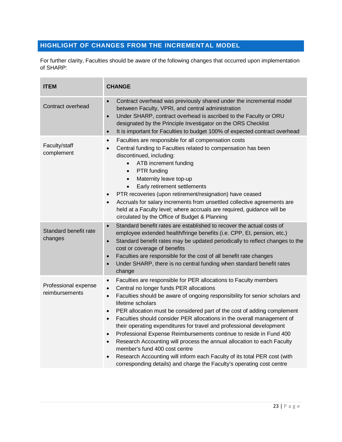# <span id="page-23-0"></span>**HIGHLIGHT OF CHANGES FROM THE INCREMENTAL MODEL**

For further clarity, Faculties should be aware of the following changes that occurred upon implementation of SHARP:

| <b>ITEM</b>                            | <b>CHANGE</b>                                                                                                                                                                                                                                                                                                                                                                                                                                                                                                                                                                                                                                                                                                                                                                                                                                                                              |
|----------------------------------------|--------------------------------------------------------------------------------------------------------------------------------------------------------------------------------------------------------------------------------------------------------------------------------------------------------------------------------------------------------------------------------------------------------------------------------------------------------------------------------------------------------------------------------------------------------------------------------------------------------------------------------------------------------------------------------------------------------------------------------------------------------------------------------------------------------------------------------------------------------------------------------------------|
| Contract overhead                      | Contract overhead was previously shared under the incremental model<br>$\bullet$<br>between Faculty, VPRI, and central administration<br>Under SHARP, contract overhead is ascribed to the Faculty or ORU<br>$\bullet$<br>designated by the Principle Investigator on the ORS Checklist<br>It is important for Faculties to budget 100% of expected contract overhead<br>$\bullet$                                                                                                                                                                                                                                                                                                                                                                                                                                                                                                         |
| Faculty/staff<br>complement            | Faculties are responsible for all compensation costs<br>$\bullet$<br>Central funding to Faculties related to compensation has been<br>discontinued, including:<br>ATB increment funding<br>$\bullet$<br>PTR funding<br>$\bullet$<br>Maternity leave top-up<br>$\bullet$<br>Early retirement settlements<br>$\bullet$<br>PTR recoveries (upon retirement/resignation) have ceased<br>$\bullet$<br>Accruals for salary increments from unsettled collective agreements are<br>$\bullet$<br>held at a Faculty level; where accruals are required, guidance will be<br>circulated by the Office of Budget & Planning                                                                                                                                                                                                                                                                           |
| Standard benefit rate<br>changes       | Standard benefit rates are established to recover the actual costs of<br>$\bullet$<br>employee extended health/fringe benefits (i.e. CPP, EI, pension, etc.)<br>Standard benefit rates may be updated periodically to reflect changes to the<br>$\bullet$<br>cost or coverage of benefits<br>Faculties are responsible for the cost of all benefit rate changes<br>$\bullet$<br>Under SHARP, there is no central funding when standard benefit rates<br>$\bullet$<br>change                                                                                                                                                                                                                                                                                                                                                                                                                |
| Professional expense<br>reimbursements | Faculties are responsible for PER allocations to Faculty members<br>$\bullet$<br>Central no longer funds PER allocations<br>$\bullet$<br>Faculties should be aware of ongoing responsibility for senior scholars and<br>$\bullet$<br>lifetime scholars<br>PER allocation must be considered part of the cost of adding complement<br>$\bullet$<br>Faculties should consider PER allocations in the overall management of<br>$\bullet$<br>their operating expenditures for travel and professional development<br>Professional Expense Reimbursements continue to reside in Fund 400<br>$\bullet$<br>Research Accounting will process the annual allocation to each Faculty<br>$\bullet$<br>member's fund 400 cost centre<br>Research Accounting will inform each Faculty of its total PER cost (with<br>$\bullet$<br>corresponding details) and charge the Faculty's operating cost centre |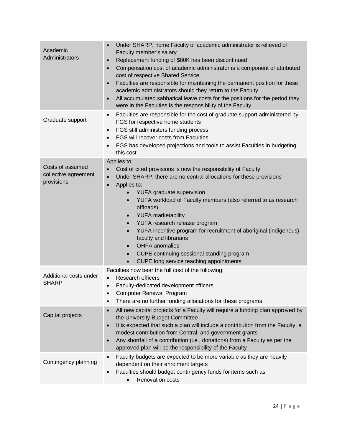| Academic<br>Administrators                             | Under SHARP, home Faculty of academic administrator is relieved of<br>Faculty member's salary<br>Replacement funding of \$80K has been discontinued<br>$\bullet$<br>Compensation cost of academic administrator is a component of attributed<br>$\bullet$<br>cost of respective Shared Service<br>Faculties are responsible for maintaining the permanent position for these<br>$\bullet$<br>academic administrators should they return to the Faculty<br>All accumulated sabbatical leave costs for the positions for the period they<br>were in the Faculties is the responsibility of the Faculty.                                                                             |
|--------------------------------------------------------|-----------------------------------------------------------------------------------------------------------------------------------------------------------------------------------------------------------------------------------------------------------------------------------------------------------------------------------------------------------------------------------------------------------------------------------------------------------------------------------------------------------------------------------------------------------------------------------------------------------------------------------------------------------------------------------|
| Graduate support                                       | Faculties are responsible for the cost of graduate support administered by<br>$\bullet$<br>FGS for respective home students<br>FGS still administers funding process<br>$\bullet$<br>FGS will recover costs from Faculties<br>$\bullet$<br>FGS has developed projections and tools to assist Faculties in budgeting<br>this cost                                                                                                                                                                                                                                                                                                                                                  |
| Costs of assumed<br>collective agreement<br>provisions | Applies to:<br>Cost of cited provisions is now the responsibility of Faculty<br>Under SHARP, there are no central allocations for these provisions<br>$\bullet$<br>Applies to:<br>$\bullet$<br>YUFA graduate supervision<br>$\bullet$<br>YUFA workload of Faculty members (also referred to as research<br>$\bullet$<br>offloads)<br><b>YUFA</b> marketability<br>$\bullet$<br>YUFA research release program<br>$\bullet$<br>YUFA incentive program for recruitment of aboriginal (indigenous)<br>$\bullet$<br>faculty and librarians<br><b>OHFA</b> anomalies<br>CUPE continuing sessional standing program<br>$\bullet$<br>CUPE long service teaching appointments<br>$\bullet$ |
| Additional costs under<br><b>SHARP</b>                 | Faculties now bear the full cost of the following:<br>Research officers<br>Faculty-dedicated development officers<br>$\bullet$<br><b>Computer Renewal Program</b><br>There are no further funding allocations for these programs                                                                                                                                                                                                                                                                                                                                                                                                                                                  |
| Capital projects                                       | All new capital projects for a Faculty will require a funding plan approved by<br>$\bullet$<br>the University Budget Committee<br>It is expected that such a plan will include a contribution from the Faculty, a<br>$\bullet$<br>modest contribution from Central, and government grants<br>Any shortfall of a contribution (i.e., donations) from a Faculty as per the<br>$\bullet$<br>approved plan will be the responsibility of the Faculty                                                                                                                                                                                                                                  |
| Contingency planning                                   | Faculty budgets are expected to be more variable as they are heavily<br>$\bullet$<br>dependent on their enrolment targets<br>Faculties should budget contingency funds for items such as:<br>$\bullet$<br>Renovation costs<br>$\bullet$                                                                                                                                                                                                                                                                                                                                                                                                                                           |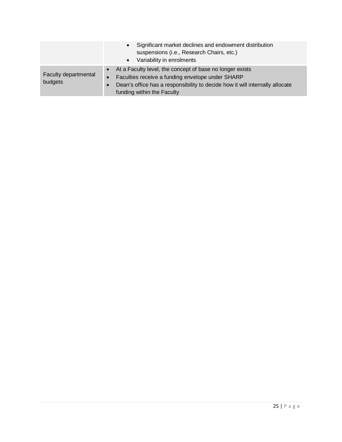|                                 | Significant market declines and endowment distribution<br>$\bullet$<br>suspensions (i.e., Research Chairs, etc.)<br>Variability in enrolments<br>$\bullet$                                                                                               |
|---------------------------------|----------------------------------------------------------------------------------------------------------------------------------------------------------------------------------------------------------------------------------------------------------|
| Faculty departmental<br>budgets | • At a Faculty level, the concept of base no longer exists<br>Faculties receive a funding envelope under SHARP<br>$\bullet$ 7<br>Dean's office has a responsibility to decide how it will internally allocate<br>$\bullet$<br>funding within the Faculty |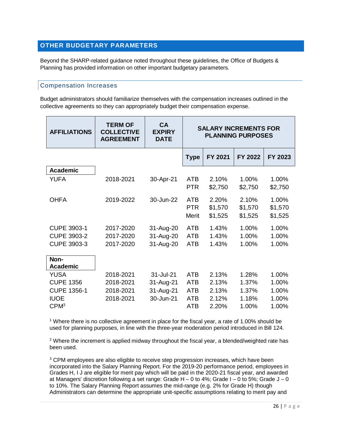# <span id="page-26-0"></span>**OTHER BUDGETARY PARAMETERS**

Beyond the SHARP-related guidance noted throughout these guidelines, the Office of Budgets & Planning has provided information on other important budgetary parameters.

#### Compensation Increases

Budget administrators should familiarize themselves with the compensation increases outlined in the collective agreements so they can appropriately budget their compensation expense.

| <b>AFFILIATIONS</b>     | <b>TERM OF</b><br><b>COLLECTIVE</b><br><b>AGREEMENT</b> | CA<br><b>EXPIRY</b><br><b>DATE</b> |                                   | <b>SALARY INCREMENTS FOR</b> | <b>PLANNING PURPOSES</b>    |                             |
|-------------------------|---------------------------------------------------------|------------------------------------|-----------------------------------|------------------------------|-----------------------------|-----------------------------|
|                         |                                                         |                                    | <b>Type</b>                       | FY 2021                      | FY 2022                     | FY 2023                     |
| <b>Academic</b>         |                                                         |                                    |                                   |                              |                             |                             |
| YUFA                    | 2018-2021                                               | 30-Apr-21                          | <b>ATB</b><br><b>PTR</b>          | 2.10%<br>\$2,750             | 1.00%<br>\$2,750            | 1.00%<br>\$2,750            |
| <b>OHFA</b>             | 2019-2022                                               | 30-Jun-22                          | <b>ATB</b><br><b>PTR</b><br>Merit | 2.20%<br>\$1,570<br>\$1,525  | 2.10%<br>\$1,570<br>\$1,525 | 1.00%<br>\$1,570<br>\$1,525 |
| <b>CUPE 3903-1</b>      | 2017-2020                                               | 31-Aug-20                          | <b>ATB</b>                        | 1.43%                        | 1.00%                       | 1.00%                       |
| <b>CUPE 3903-2</b>      | 2017-2020                                               | 31-Aug-20                          | <b>ATB</b>                        | 1.43%                        | 1.00%                       | 1.00%                       |
| <b>CUPE 3903-3</b>      | 2017-2020                                               | 31-Aug-20                          | <b>ATB</b>                        | 1.43%                        | 1.00%                       | 1.00%                       |
| Non-<br><b>Academic</b> |                                                         |                                    |                                   |                              |                             |                             |
| <b>YUSA</b>             | 2018-2021                                               | 31-Jul-21                          | <b>ATB</b>                        | 2.13%                        | 1.28%                       | 1.00%                       |
| <b>CUPE 1356</b>        | 2018-2021                                               | 31-Aug-21                          | <b>ATB</b>                        | 2.13%                        | 1.37%                       | 1.00%                       |
| <b>CUPE 1356-1</b>      | 2018-2021                                               | 31-Aug-21                          | <b>ATB</b>                        | 2.13%                        | 1.37%                       | 1.00%                       |
| <b>IUOE</b>             | 2018-2021                                               | 30-Jun-21                          | ATB                               | 2.12%                        | 1.18%                       | 1.00%                       |
| CPM <sup>3</sup>        |                                                         |                                    | <b>ATB</b>                        | 2.20%                        | 1.00%                       | 1.00%                       |

<sup>1</sup> Where there is no collective agreement in place for the fiscal year, a rate of 1.00% should be used for planning purposes, in line with the three-year moderation period introduced in Bill 124.

<sup>2</sup> Where the increment is applied midway throughout the fiscal year, a blended/weighted rate has been used.

<sup>3</sup> CPM employees are also eligible to receive step progression increases, which have been incorporated into the Salary Planning Report. For the 2019-20 performance period, employees in Grades H, I J are eligible for merit pay which will be paid in the 2020-21 fiscal year, and awarded at Managers' discretion following a set range: Grade  $H - 0$  to 4%; Grade  $I - 0$  to 5%; Grade  $J - 0$ to 10%. The Salary Planning Report assumes the mid-range (e.g. 2% for Grade H) though Administrators can determine the appropriate unit-specific assumptions relating to merit pay and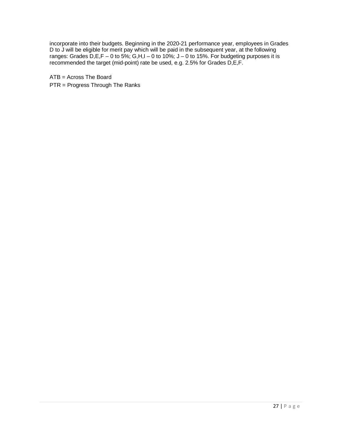incorporate into their budgets. Beginning in the 2020-21 performance year, employees in Grades D to J will be eligible for merit pay which will be paid in the subsequent year, at the following ranges: Grades D,E,F – 0 to 5%; G,H,I – 0 to 10%; J – 0 to 15%. For budgeting purposes it is recommended the target (mid-point) rate be used, e.g. 2.5% for Grades D,E,F.

ATB = Across The Board PTR = Progress Through The Ranks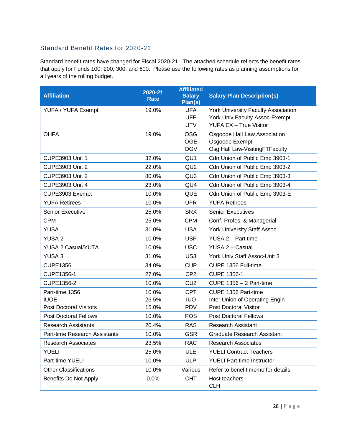# Standard Benefit Rates for 2020-21

Standard benefit rates have changed for Fiscal 2020-21. The attached schedule reflects the benefit rates that apply for Funds 100, 200, 300, and 600. Please use the following rates as planning assumptions for all years of the rolling budget.

| <b>Affiliation</b>            | 2020-21<br><b>Rate</b> | <b>Affiliated</b><br><b>Salary</b><br>Plan(s) | <b>Salary Plan Description(s)</b>          |
|-------------------------------|------------------------|-----------------------------------------------|--------------------------------------------|
| YUFA / YUFA Exempt            | 19.0%                  | <b>UFA</b>                                    | <b>York University Faculty Association</b> |
|                               |                        | <b>UFE</b>                                    | York Univ Faculty Assoc-Exempt             |
|                               |                        | <b>UTV</b>                                    | <b>YUFA EX - True Visitor</b>              |
| <b>OHFA</b>                   | 19.0%                  | <b>OSG</b>                                    | Osgoode Hall Law Association               |
|                               |                        | <b>OGE</b>                                    | Osgoode Exempt                             |
|                               |                        | <b>OGV</b>                                    | Osg Hall Law-VisitingFTFaculty             |
| <b>CUPE3903 Unit 1</b>        | 32.0%                  | QU <sub>1</sub>                               | Cdn Union of Public Emp 3903-1             |
| <b>CUPE3903 Unit 2</b>        | 22.0%                  | QU <sub>2</sub>                               | Cdn Union of Public Emp 3903-2             |
| <b>CUPE3903 Unit 2</b>        | 80.0%                  | QU <sub>3</sub>                               | Cdn Union of Public Emp 3903-3             |
| <b>CUPE3903 Unit 4</b>        | 23.0%                  | QU4                                           | Cdn Union of Public Emp 3903-4             |
| CUPE3903 Exempt               | 10.0%                  | <b>QUE</b>                                    | Cdn Union of Public Emp 3903-E             |
| <b>YUFA Retirees</b>          | 10.0%                  | <b>UFR</b>                                    | <b>YUFA Retirees</b>                       |
| Senior Executive              | 25.0%                  | <b>SRX</b>                                    | <b>Senior Executives</b>                   |
| <b>CPM</b>                    | 25.0%                  | <b>CPM</b>                                    | Conf. Profes. & Managerial                 |
| <b>YUSA</b>                   | 31.0%                  | <b>USA</b>                                    | <b>York University Staff Assoc</b>         |
| <b>YUSA 2</b>                 | 10.0%                  | <b>USP</b>                                    | YUSA 2 - Part time                         |
| <b>YUSA 2 Casual/YUTA</b>     | 10.0%                  | <b>USC</b>                                    | YUSA 2 - Casual                            |
| YUSA <sub>3</sub>             | 31.0%                  | US <sub>3</sub>                               | York Univ Staff Assoc-Unit 3               |
| <b>CUPE1356</b>               | 34.0%                  | <b>CUP</b>                                    | CUPE 1356 Full-time                        |
| CUPE1356-1                    | 27.0%                  | CP <sub>2</sub>                               | <b>CUPE 1356-1</b>                         |
| CUPE1356-2                    | 10.0%                  | CU <sub>2</sub>                               | CUPE 1356 - 2 Part-time                    |
| Part-time 1356                | 10.0%                  | <b>CPT</b>                                    | CUPE 1356 Part-time                        |
| <b>IUOE</b>                   | 26.5%                  | <b>IUO</b>                                    | Inter Union of Operating Engin             |
| <b>Post Doctoral Visitors</b> | 15.0%                  | <b>PDV</b>                                    | <b>Post Doctoral Visitor</b>               |
| <b>Post Doctoral Fellows</b>  | 10.0%                  | <b>POS</b>                                    | <b>Post Doctoral Fellows</b>               |
| <b>Research Assistants</b>    | 20.4%                  | <b>RAS</b>                                    | <b>Research Assistant</b>                  |
| Part-time Research Assistants | 10.0%                  | <b>GSR</b>                                    | Graduate Research Assistant                |
| <b>Research Associates</b>    | 23.5%                  | <b>RAC</b>                                    | <b>Research Associates</b>                 |
| <b>YUELI</b>                  | 25.0%                  | <b>ULE</b>                                    | <b>YUELI Contract Teachers</b>             |
| Part-time YUELI               | 10.0%                  | <b>ULP</b>                                    | <b>YUELI Part-time Instructor</b>          |
| <b>Other Classifications</b>  | 10.0%                  | Various                                       | Refer to benefit memo for details          |
| Benefits Do Not Apply         | 0.0%                   | <b>CHT</b>                                    | Host teachers<br><b>CLH</b>                |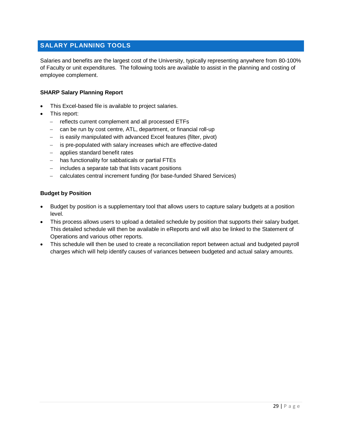# <span id="page-29-0"></span>**SALARY PLANNING TOOLS**

Salaries and benefits are the largest cost of the University, typically representing anywhere from 80-100% of Faculty or unit expenditures. The following tools are available to assist in the planning and costing of employee complement.

#### **SHARP Salary Planning Report**

- This Excel-based file is available to project salaries.
- This report:
	- − reflects current complement and all processed ETFs
	- can be run by cost centre, ATL, department, or financial roll-up
	- is easily manipulated with advanced Excel features (filter, pivot)
	- − is pre-populated with salary increases which are effective-dated
	- applies standard benefit rates
	- − has functionality for sabbaticals or partial FTEs
	- − includes a separate tab that lists vacant positions
	- − calculates central increment funding (for base-funded Shared Services)

#### **Budget by Position**

- Budget by position is a supplementary tool that allows users to capture salary budgets at a position level.
- This process allows users to upload a detailed schedule by position that supports their salary budget. This detailed schedule will then be available in eReports and will also be linked to the Statement of Operations and various other reports.
- This schedule will then be used to create a reconciliation report between actual and budgeted payroll charges which will help identify causes of variances between budgeted and actual salary amounts.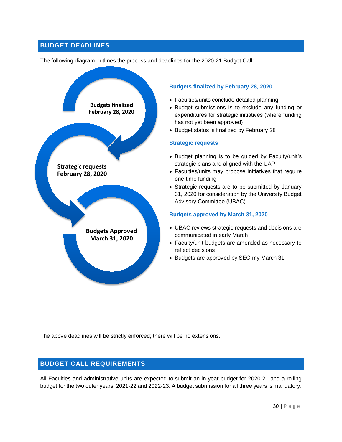# <span id="page-30-0"></span>**BUDGET DEADLINES**

The following diagram outlines the process and deadlines for the 2020-21 Budget Call:



#### **Budgets finalized by February 28, 2020**

- Faculties/units conclude detailed planning
- Budget submissions is to exclude any funding or expenditures for strategic initiatives (where funding has not yet been approved)
- Budget status is finalized by February 28

#### **Strategic requests**

- Budget planning is to be guided by Faculty/unit's strategic plans and aligned with the UAP
- Faculties/units may propose initiatives that require one-time funding
- Strategic requests are to be submitted by January 31, 2020 for consideration by the University Budget Advisory Committee (UBAC)

#### **Budgets approved by March 31, 2020**

- UBAC reviews strategic requests and decisions are communicated in early March
- Faculty/unit budgets are amended as necessary to reflect decisions
- Budgets are approved by SEO my March 31

The above deadlines will be strictly enforced; there will be no extensions.

# <span id="page-30-1"></span>**BUDGET CALL REQUIREMENTS**

All Faculties and administrative units are expected to submit an in-year budget for 2020-21 and a rolling budget for the two outer years, 2021-22 and 2022-23. A budget submission for all three years is mandatory.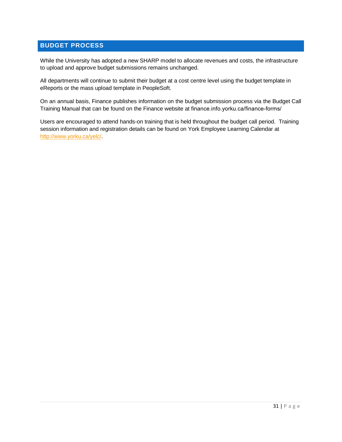# <span id="page-31-0"></span>**BUDGET PROCESS**

While the University has adopted a new SHARP model to allocate revenues and costs, the infrastructure to upload and approve budget submissions remains unchanged.

All departments will continue to submit their budget at a cost centre level using the budget template in eReports or the mass upload template in PeopleSoft.

On an annual basis, Finance publishes information on the budget submission process via the Budget Call Training Manual that can be found on the Finance website at [finance.info.yorku.ca/finance-forms/](https://finance.info.yorku.ca/finance-forms/)

Users are encouraged to attend hands-on training that is held throughout the budget call period. Training session information and registration details can be found on York Employee Learning Calendar at [http://www.yorku.ca/yelc/.](http://www.yorku.ca/yelc/)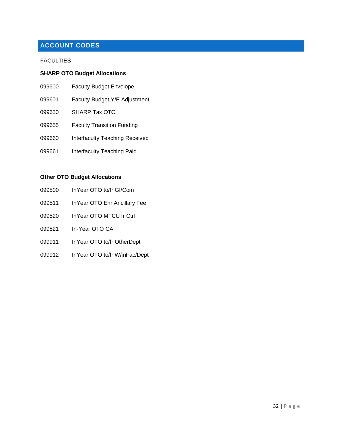# <span id="page-32-0"></span>**ACCOUNT CODES**

#### **FACULTIES**

# **SHARP OTO Budget Allocations**

| 099600 | <b>Faculty Budget Envelope</b>    |
|--------|-----------------------------------|
| 099601 | Faculty Budget Y/E Adjustment     |
| 099650 | SHARP Tax OTO                     |
| 099655 | <b>Faculty Transition Funding</b> |
| 099660 | Interfaculty Teaching Received    |
| 099661 | Interfaculty Teaching Paid        |
|        |                                   |

# **Other OTO Budget Allocations**

- InYear OTO to/fr GI/Com
- InYear OTO Enr Ancillary Fee
- InYear OTO MTCU fr Ctrl
- In-Year OTO CA
- InYear OTO to/fr OtherDept
- InYear OTO to/fr W/inFac/Dept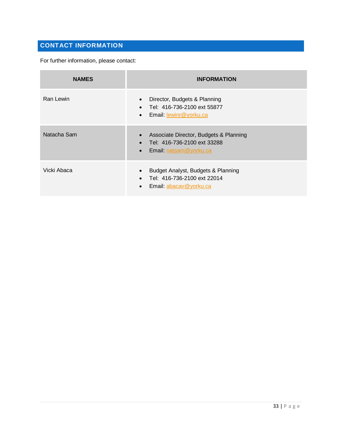# <span id="page-33-0"></span>**CONTACT INFORMATION**

For further information, please contact:

| <b>NAMES</b> | <b>INFORMATION</b>                                                                                                    |
|--------------|-----------------------------------------------------------------------------------------------------------------------|
| Ran Lewin    | Director, Budgets & Planning<br>Tel: 416-736-2100 ext 55877<br>Email: lewinr@yorku.ca<br>$\bullet$                    |
| Natacha Sam  | Associate Director, Budgets & Planning<br>Tel: 416-736-2100 ext 33288<br>Email: natsam@yorku.ca<br>$\bullet$          |
| Vicki Abaca  | Budget Analyst, Budgets & Planning<br>$\bullet$<br>Tel: 416-736-2100 ext 22014<br>Email: abacav@yorku.ca<br>$\bullet$ |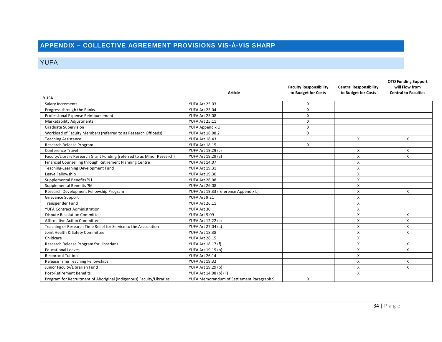# **APPENDIX – COLLECTIVE AGREEMENT PROVISIONS VIS-À-VIS SHARP**

# YUFA

<span id="page-34-1"></span><span id="page-34-0"></span>

|                                                                        |                                           | <b>Faculty Responsibility</b> | <b>Central Responsibility</b> | <b>OTO Funding Support</b><br>will Flow from |
|------------------------------------------------------------------------|-------------------------------------------|-------------------------------|-------------------------------|----------------------------------------------|
|                                                                        | <b>Article</b>                            | to Budget for Costs           | to Budget for Costs           | <b>Central to Faculties</b>                  |
| <b>YUFA</b>                                                            |                                           |                               |                               |                                              |
| Salary Increments                                                      | <b>YUFA Art 25.03</b>                     | Χ                             |                               |                                              |
| Progress through the Ranks                                             | <b>YUFA Art 25.04</b>                     | X                             |                               |                                              |
| Professional Expense Reimbursement                                     | <b>YUFA Art 25.08</b>                     | Χ                             |                               |                                              |
| <b>Marketability Adjustments</b>                                       | YUFA Art 25.11                            | X                             |                               |                                              |
| <b>Graduate Supervision</b>                                            | YUFA Appendix O                           | Χ                             |                               |                                              |
| Workload of Faculty Members (referred to as Research Offloads)         | YUFA Art 18.08.2                          | X                             |                               |                                              |
| <b>Teaching Assistance</b>                                             | YUFA Art 18.43                            |                               | X                             | X                                            |
| Research Release Program                                               | YUFA Art 18.15                            | X                             |                               |                                              |
| <b>Conference Travel</b>                                               | YUFA Art 19.29 (c)                        |                               | X                             | X                                            |
| Faculty/Library Research Grant Funding (referred to as Minor Research) | YUFA Art 19.29 (a)                        |                               | $\boldsymbol{\mathsf{x}}$     | X                                            |
| Financial Counselling through Retirement Planning Centre               | <b>YUFA Art 14.07</b>                     |                               | X                             |                                              |
| Teaching-Learning Development Fund                                     | YUFA Art 19.31                            |                               | X                             |                                              |
| Leave Fellowship                                                       | <b>YUFA Art 19.30</b>                     |                               | X                             |                                              |
| Supplemental Benefits '91                                              | <b>YUFA Art 26.08</b>                     |                               | X                             |                                              |
| Supplemental Benefits '96                                              | <b>YUFA Art 26.08</b>                     |                               | X                             |                                              |
| Research Development Fellowship Program                                | YUFA Art 19.33 (reference Appendix L)     |                               | X                             | X                                            |
| Grievance Support                                                      | YUFA Art 9.21                             |                               | $\boldsymbol{\mathsf{x}}$     |                                              |
| Transgender Fund                                                       | YUFA Art 26.11                            |                               | X                             |                                              |
| <b>YUFA Contract Administration</b>                                    | YUFA Art 30                               |                               | X                             |                                              |
| <b>Dispute Resolution Committee</b>                                    | YUFA Art 9.09                             |                               | X                             | X                                            |
| <b>Affirmative Action Committee</b>                                    | YUFA Art 12.22 (c)                        |                               | X                             | X                                            |
| Teaching or Research Time Relief for Service to the Association        | <b>YUFA Art 27.04 (a)</b>                 |                               | $\boldsymbol{\mathsf{x}}$     | X                                            |
| Joint Health & Safety Committee                                        | YUFA Art 18.38                            |                               | X                             | X                                            |
| Childcare                                                              | YUFA Art 26.15                            |                               | X                             |                                              |
| Research Release Program for Librarians                                | YUFA Art 18.17 (f)                        |                               | X                             | X                                            |
| <b>Educational Leaves</b>                                              | YUFA Art 19.19 (b)                        |                               | X                             | X                                            |
| <b>Reciprocal Tuition</b>                                              | YUFA Art 26.14                            |                               | X                             |                                              |
| Release Time Teaching Fellowships                                      | <b>YUFA Art 19.32</b>                     |                               | X                             | X                                            |
| Junior Faculty/Librarian Fund                                          | YUFA Art 19.29 (b)                        |                               | X                             | X                                            |
| <b>Post-Retirement Benefits</b>                                        | YUFA Art 14.08 (b) (ii)                   |                               | X                             |                                              |
| Program for Recruitment of Aboriginal (Indigenous) Faculty/Libraries   | YUFA Memorandum of Settlement Paragraph 9 | X                             |                               |                                              |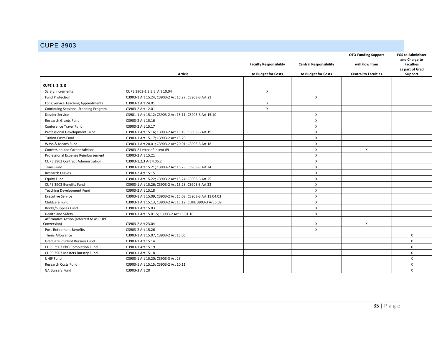# CUPE 3903

<span id="page-35-0"></span>

|                                         |                                                            |                               |                               | <b>OTO Funding Support</b>  | <b>FGS to Administer</b>                             |
|-----------------------------------------|------------------------------------------------------------|-------------------------------|-------------------------------|-----------------------------|------------------------------------------------------|
|                                         |                                                            | <b>Faculty Responsibility</b> | <b>Central Responsibility</b> | will Flow from              | and Charge to<br><b>Faculties</b><br>as part of Grad |
|                                         | Article                                                    | to Budget for Costs           | to Budget for Costs           | <b>Central to Faculties</b> | Support                                              |
|                                         |                                                            |                               |                               |                             |                                                      |
| <b>CUPE 1, 2, 3, E</b>                  |                                                            |                               |                               |                             |                                                      |
| Salary Increments                       | CUPE 3903-1,2,3,E Art 10.04                                | X                             |                               |                             |                                                      |
| <b>Fund Protection</b>                  | C3903-1 Art 15.24; C3903-2 Art 15.27; C3903-3 Art 21       |                               | X                             |                             |                                                      |
| Long Service Teaching Appointments      | C3903-2 Art 24.01                                          | X                             |                               |                             |                                                      |
| Continuing Sessional Standing Program   | C3903-2 Art 12.01                                          | X                             |                               |                             |                                                      |
| <b>Dossier Service</b>                  | C3901-1 Art 15.12; C3903-2 Art 15.11; C3903-3 Art 15.10    |                               | $\boldsymbol{\mathsf{x}}$     |                             |                                                      |
| <b>Research Grants Fund</b>             | C3903-2 Art 15.16                                          |                               | $\mathsf{x}$                  |                             |                                                      |
| Conference Travel Fund                  | C3903-2 Art 15.17                                          |                               | X                             |                             |                                                      |
| Professional Development Fund           | C3903-1 Art 15.16; C3903-2 Art 15.19; C3903-3 Art 19       |                               | X                             |                             |                                                      |
| <b>Tuition Costs Fund</b>               | C3903-1 Art 15.17; C3903-2 Art 15.20                       |                               | X                             |                             |                                                      |
| Ways & Means Fund.                      | C3903-1 Art 20.01; C3903-2 Art 20.01; C3903-3 Art 18       |                               | X                             |                             |                                                      |
| Conversion and Career Advisor           | C3903-2 Letter of Intent #9                                |                               | X                             | X                           |                                                      |
| Professional Expense Reimbursement      | C3903-2 Art 15.21                                          |                               | X                             |                             |                                                      |
| CUPE 3903 Contract Administration       | C3903-1,2,3 Art 4.06.2                                     |                               | X                             |                             |                                                      |
| <b>Trans Fund</b>                       | C3903-1 Art 15.21; C3903-2 Art 15.23, C3903-3 Art 24       |                               | X                             |                             |                                                      |
| Research Leaves                         | C3903-2 Art 15.15                                          |                               | $\times$                      |                             |                                                      |
| <b>Equity Fund</b>                      | C3903-1 Art 15.22: C3903-2 Art 15.24: C3903-3 Art 25       |                               | $\boldsymbol{\mathsf{X}}$     |                             |                                                      |
| CUPE 3903 Benefits Fund                 | C3903-1 Art 15.26; C3903-2 Art 15.28, C3903-3 Art 22       |                               | $\boldsymbol{\mathsf{X}}$     |                             |                                                      |
| <b>Teaching Development Fund</b>        | C3903-2 Art 15.18                                          |                               | X                             |                             |                                                      |
| <b>Executive Service</b>                | C3903-1 Art 15.09; C3903-2 Art 15.08; C3903-3 Art 11.04.03 |                               | X                             |                             |                                                      |
| Childcare Fund                          | C3903-1 Art 15.13; C3903-2 Art 15.12; CUPE 3903-3 Art 5.09 |                               | $\pmb{\times}$                |                             |                                                      |
| Books/Supplies Fund                     | C3903-1 Art 15.03                                          |                               | X                             |                             |                                                      |
| Health and Safety                       | C3903-1 Art 15.01.5; C3903-2 Art 15.01.10                  |                               | X                             |                             |                                                      |
| Affirmative Action (referred to as CUPE |                                                            |                               |                               |                             |                                                      |
| Conversion)                             | C3903-2 Art 23.04                                          |                               | X                             | X                           |                                                      |
| Post-Retirement Benefits                | C3903-2 Art 15.26                                          |                               | X                             |                             |                                                      |
| <b>Thesis Allowance</b>                 | C3903-1 Art 15.07; C3903-2 Art 15.06                       |                               |                               |                             | X                                                    |
| Graduate Student Bursary Fund           | C3903-1 Art 15.14                                          |                               |                               |                             | X                                                    |
| CUPE 3903 PhD Completion Fund           | C3903-1 Art 15.19                                          |                               |                               |                             | $\mathsf{x}$                                         |
| CUPE 3903 Masters Bursary Fund          | C3903-1 Art 15.18                                          |                               |                               |                             | $\mathsf{x}$                                         |
| UHIP Fund                               | C3903-1 Art 15.20; C3903-3 Art 23                          |                               |                               |                             | $\times$                                             |
| <b>Research Costs Fund</b>              | C3903-1 Art 15.15; C3903-2 Art 10.11                       |                               |                               |                             | $\mathsf{x}$                                         |
| <b>GA Bursary Fund</b>                  | C3903-3 Art 20                                             |                               |                               |                             | X                                                    |